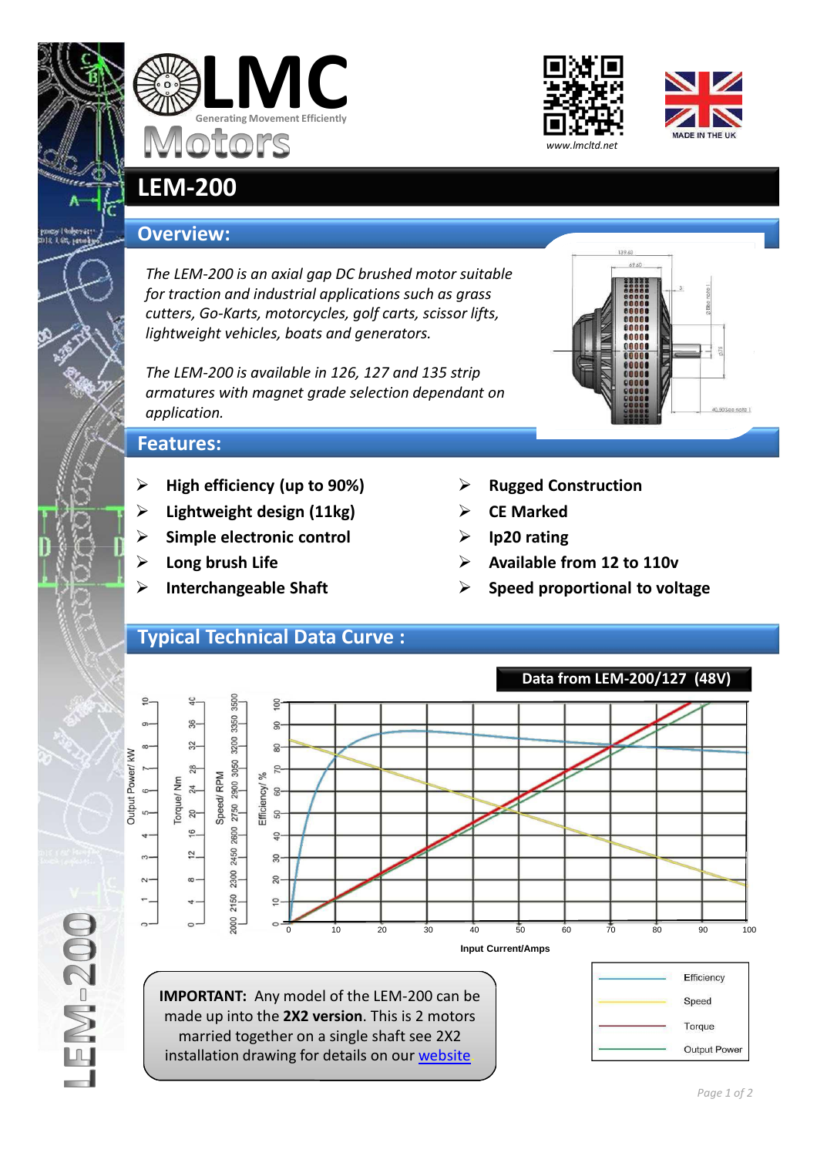







## **LEM-200**

## **Overview:**

*The LEM-200 is an axial gap DC brushed motor suitable for traction and industrial applications such as grass cutters, Go-Karts, motorcycles, golf carts, scissor lifts, lightweight vehicles, boats and generators.*

*The LEM-200 is available in 126, 127 and 135 strip armatures with magnet grade selection dependant on application.*



## **Features:**

- **High efficiency (up to 90%)**
- **Lightweight design (11kg)**
- **Simple electronic control**
- **Long brush Life**
- **Interchangeable Shaft**
- **Rugged Construction**
- **CE Marked**
- **Ip20 rating**
- **Available from 12 to 110v**
- **Speed proportional to voltage**

## **Typical Technical Data Curve :**



installation drawing for details on our website